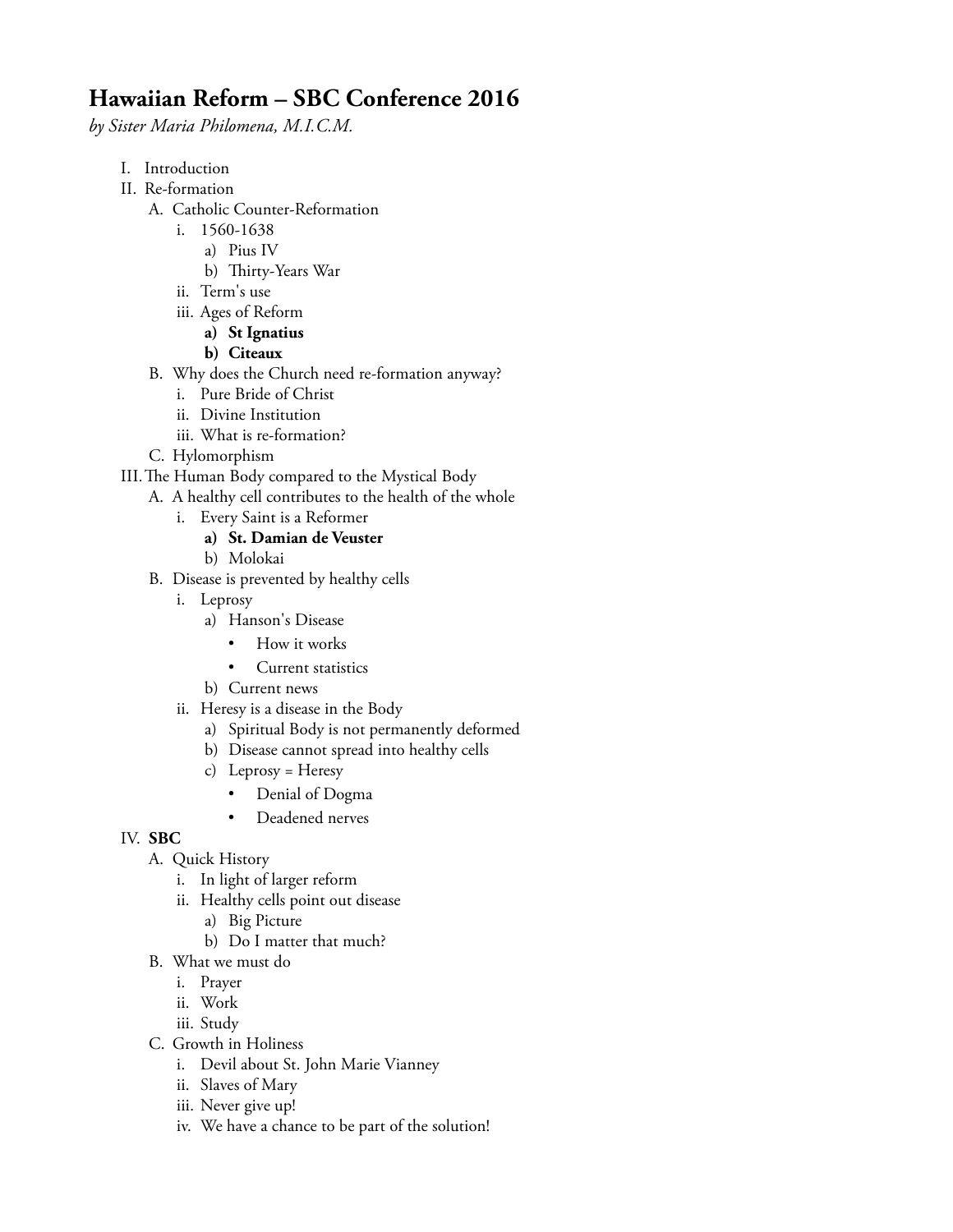## **Hawaiian Reform – SBC Conference 2016**

*by Sister Maria Philomena, M.I.C.M.*

- I. Introduction
- II. Re-formation
	- A. Catholic Counter-Reformation
		- i. 1560-1638
			- a) Pius IV
			- b) Thirty-Years War
		- ii. Term's use
		- iii. Ages of Reform
			- **a) St Ignatius**
			- **b) Citeaux**
	- B. Why does the Church need re-formation anyway?
		- i. Pure Bride of Christ
		- ii. Divine Institution
		- iii. What is re-formation?
	- C. Hylomorphism
- III. The Human Body compared to the Mystical Body
	- A. A healthy cell contributes to the health of the whole
		- i. Every Saint is a Reformer
			- **a) St. Damian de Veuster**
			- b) Molokai
	- B. Disease is prevented by healthy cells
		- i. Leprosy
			- a) Hanson's Disease
				- How it works
				- Current statistics
			- b) Current news
		- ii. Heresy is a disease in the Body
			- a) Spiritual Body is not permanently deformed
			- b) Disease cannot spread into healthy cells
			- c) Leprosy = Heresy
				- Denial of Dogma
				- Deadened nerves

## IV. **SBC**

- A. Quick History
	- i. In light of larger reform
	- ii. Healthy cells point out disease
		- a) Big Picture
		- b) Do I matter that much?
- B. What we must do
	- i. Prayer
	- ii. Work
	- iii. Study
- C. Growth in Holiness
	- i. Devil about St. John Marie Vianney
	- ii. Slaves of Mary
	- iii. Never give up!
	- iv. We have a chance to be part of the solution!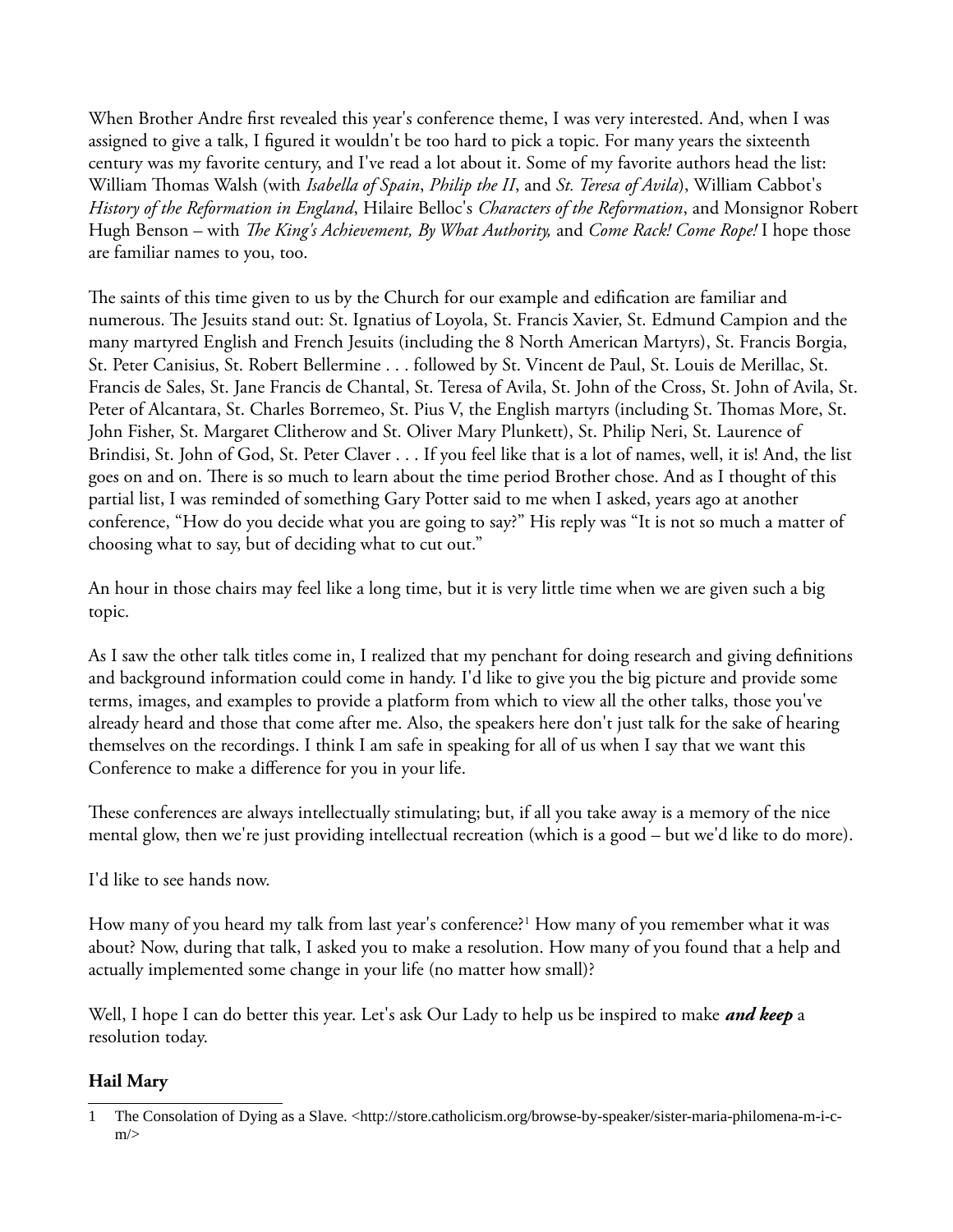When Brother Andre frst revealed this year's conference theme, I was very interested. And, when I was assigned to give a talk, I fgured it wouldn't be too hard to pick a topic. For many years the sixteenth century was my favorite century, and I've read a lot about it. Some of my favorite authors head the list: William Tomas Walsh (with *Isabella of Spain*, *Philip the II*, and *St. Teresa of Avila*), William Cabbot's *History of the Reformation in England*, Hilaire Belloc's *Characters of the Reformation*, and Monsignor Robert Hugh Benson – with *The King's Achievement, By What Authority,* and *Come Rack! Come Rope!* I hope those are familiar names to you, too.

The saints of this time given to us by the Church for our example and edification are familiar and numerous. The Jesuits stand out: St. Ignatius of Loyola, St. Francis Xavier, St. Edmund Campion and the many martyred English and French Jesuits (including the 8 North American Martyrs), St. Francis Borgia, St. Peter Canisius, St. Robert Bellermine . . . followed by St. Vincent de Paul, St. Louis de Merillac, St. Francis de Sales, St. Jane Francis de Chantal, St. Teresa of Avila, St. John of the Cross, St. John of Avila, St. Peter of Alcantara, St. Charles Borremeo, St. Pius V, the English martyrs (including St. Thomas More, St. John Fisher, St. Margaret Clitherow and St. Oliver Mary Plunkett), St. Philip Neri, St. Laurence of Brindisi, St. John of God, St. Peter Claver . . . If you feel like that is a lot of names, well, it is! And, the list goes on and on. There is so much to learn about the time period Brother chose. And as I thought of this partial list, I was reminded of something Gary Potter said to me when I asked, years ago at another conference, "How do you decide what you are going to say?" His reply was "It is not so much a matter of choosing what to say, but of deciding what to cut out."

An hour in those chairs may feel like a long time, but it is very little time when we are given such a big topic.

As I saw the other talk titles come in, I realized that my penchant for doing research and giving defnitions and background information could come in handy. I'd like to give you the big picture and provide some terms, images, and examples to provide a platform from which to view all the other talks, those you've already heard and those that come after me. Also, the speakers here don't just talk for the sake of hearing themselves on the recordings. I think I am safe in speaking for all of us when I say that we want this Conference to make a diference for you in your life.

These conferences are always intellectually stimulating; but, if all you take away is a memory of the nice mental glow, then we're just providing intellectual recreation (which is a good – but we'd like to do more).

I'd like to see hands now.

How many of you heard my talk from last year's conference?[1](#page-1-0) How many of you remember what it was about? Now, during that talk, I asked you to make a resolution. How many of you found that a help and actually implemented some change in your life (no matter how small)?

Well, I hope I can do better this year. Let's ask Our Lady to help us be inspired to make *and keep* a resolution today.

## **Hail Mary**

<span id="page-1-0"></span><sup>1</sup> The Consolation of Dying as a Slave. <http://store.catholicism.org/browse-by-speaker/sister-maria-philomena-m-i-c $m/$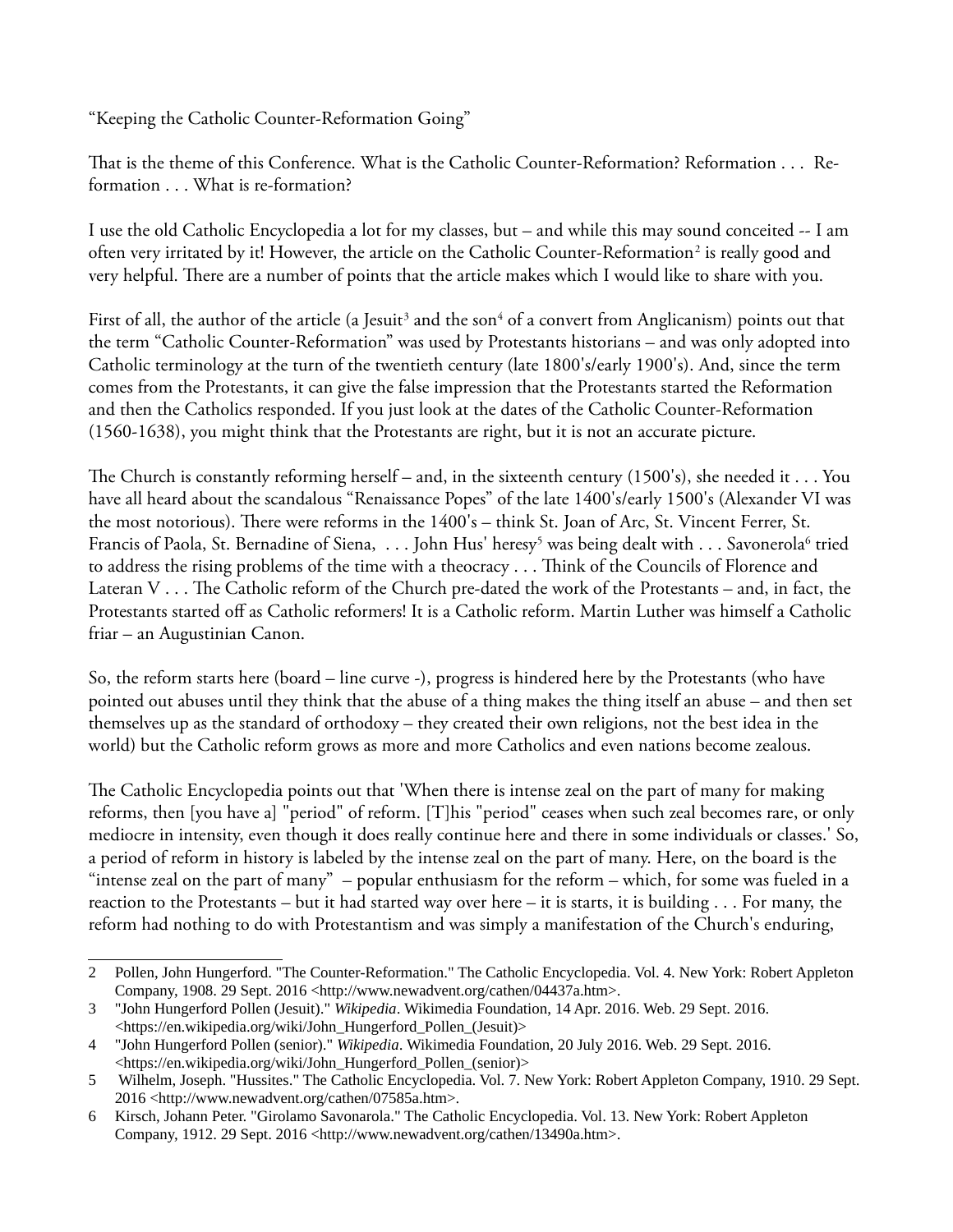"Keeping the Catholic Counter-Reformation Going"

That is the theme of this Conference. What is the Catholic Counter-Reformation? Reformation . . . Reformation . . . What is re-formation?

I use the old Catholic Encyclopedia a lot for my classes, but – and while this may sound conceited -- I am often very irritated by it! However, the article on the Catholic Counter-Reformation<sup>[2](#page-2-0)</sup> is really good and very helpful. There are a number of points that the article makes which I would like to share with you.

First of all, the author of the article (a Jesuit<sup>[3](#page-2-1)</sup> and the son<sup>[4](#page-2-2)</sup> of a convert from Anglicanism) points out that the term "Catholic Counter-Reformation" was used by Protestants historians – and was only adopted into Catholic terminology at the turn of the twentieth century (late 1800's/early 1900's). And, since the term comes from the Protestants, it can give the false impression that the Protestants started the Reformation and then the Catholics responded. If you just look at the dates of the Catholic Counter-Reformation (1560-1638), you might think that the Protestants are right, but it is not an accurate picture.

The Church is constantly reforming herself – and, in the sixteenth century (1500's), she needed it  $\dots$  You have all heard about the scandalous "Renaissance Popes" of the late 1400's/early 1500's (Alexander VI was the most notorious). There were reforms in the 1400's – think St. Joan of Arc, St. Vincent Ferrer, St. Francis of Paola, St. Bernadine of Siena, . . . John Hus' heresy<sup>[5](#page-2-3)</sup> was being dealt with . . . Savonerola<sup>[6](#page-2-4)</sup> tried to address the rising problems of the time with a theocracy . . . Think of the Councils of Florence and Lateran V  $\ldots$  The Catholic reform of the Church pre-dated the work of the Protestants – and, in fact, the Protestants started off as Catholic reformers! It is a Catholic reform. Martin Luther was himself a Catholic friar – an Augustinian Canon.

So, the reform starts here (board – line curve -), progress is hindered here by the Protestants (who have pointed out abuses until they think that the abuse of a thing makes the thing itself an abuse – and then set themselves up as the standard of orthodoxy – they created their own religions, not the best idea in the world) but the Catholic reform grows as more and more Catholics and even nations become zealous.

The Catholic Encyclopedia points out that 'When there is intense zeal on the part of many for making reforms, then [you have a] "period" of reform. [T]his "period" ceases when such zeal becomes rare, or only mediocre in intensity, even though it does really continue here and there in some individuals or classes.' So, a period of reform in history is labeled by the intense zeal on the part of many. Here, on the board is the "intense zeal on the part of many" – popular enthusiasm for the reform – which, for some was fueled in a reaction to the Protestants – but it had started way over here – it is starts, it is building . . . For many, the reform had nothing to do with Protestantism and was simply a manifestation of the Church's enduring,

<span id="page-2-0"></span><sup>2</sup> Pollen, John Hungerford. "The Counter-Reformation." The Catholic Encyclopedia. Vol. 4. New York: Robert Appleton Company, 1908. 29 Sept. 2016 <http://www.newadvent.org/cathen/04437a.htm>.

<span id="page-2-1"></span><sup>3</sup> "John Hungerford Pollen (Jesuit)." *Wikipedia*. Wikimedia Foundation, 14 Apr. 2016. Web. 29 Sept. 2016. <https://en.wikipedia.org/wiki/John\_Hungerford\_Pollen\_(Jesuit)>

<span id="page-2-2"></span><sup>4</sup> "John Hungerford Pollen (senior)." *Wikipedia*. Wikimedia Foundation, 20 July 2016. Web. 29 Sept. 2016. <https://en.wikipedia.org/wiki/John\_Hungerford\_Pollen\_(senior)>

<span id="page-2-3"></span><sup>5</sup> Wilhelm, Joseph. "Hussites." The Catholic Encyclopedia. Vol. 7. New York: Robert Appleton Company, 1910. 29 Sept. 2016 <http://www.newadvent.org/cathen/07585a.htm>.

<span id="page-2-4"></span><sup>6</sup> Kirsch, Johann Peter. "Girolamo Savonarola." The Catholic Encyclopedia. Vol. 13. New York: Robert Appleton Company, 1912. 29 Sept. 2016 <http://www.newadvent.org/cathen/13490a.htm>.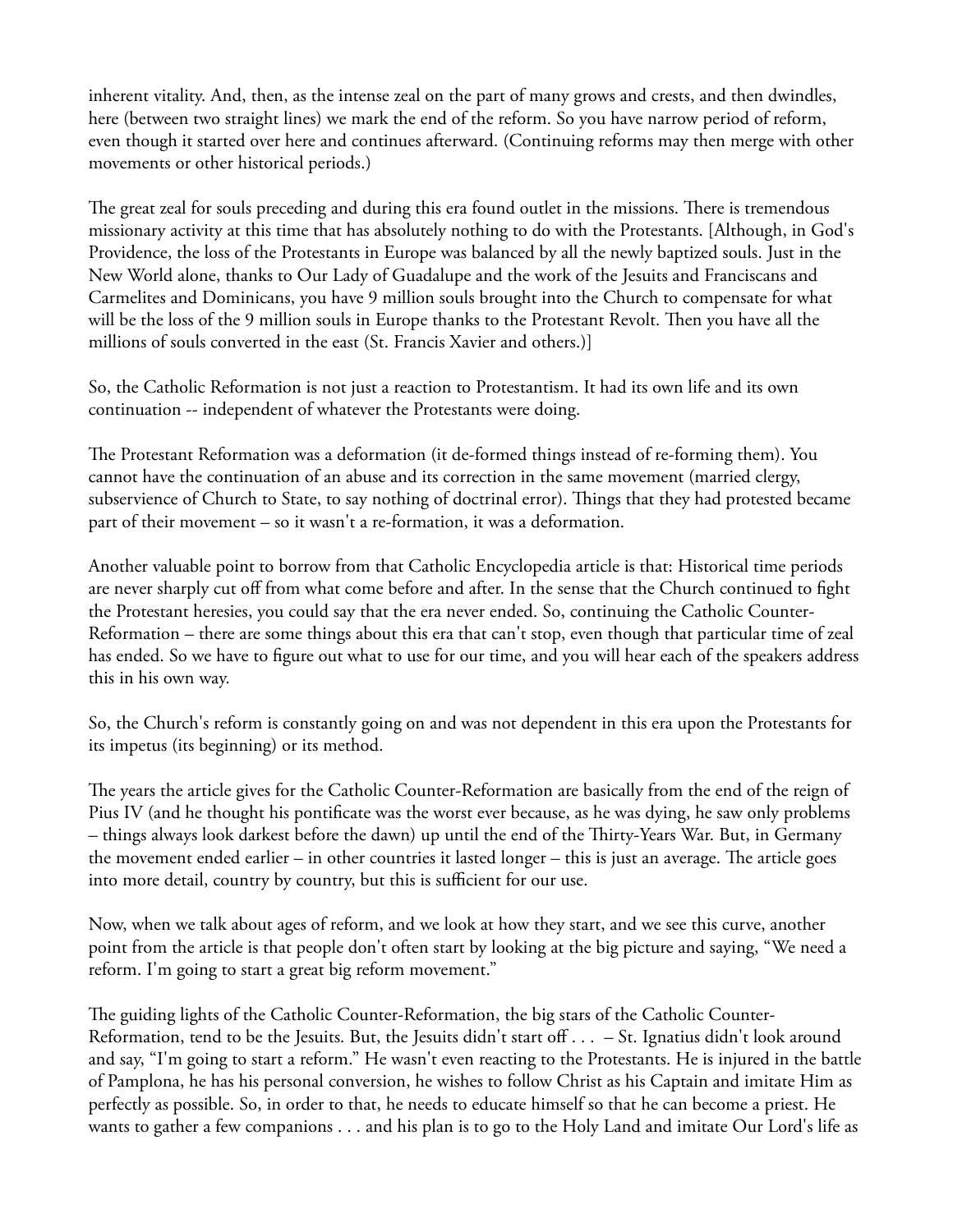inherent vitality. And, then, as the intense zeal on the part of many grows and crests, and then dwindles, here (between two straight lines) we mark the end of the reform. So you have narrow period of reform, even though it started over here and continues afterward. (Continuing reforms may then merge with other movements or other historical periods.)

The great zeal for souls preceding and during this era found outlet in the missions. There is tremendous missionary activity at this time that has absolutely nothing to do with the Protestants. [Although, in God's Providence, the loss of the Protestants in Europe was balanced by all the newly baptized souls. Just in the New World alone, thanks to Our Lady of Guadalupe and the work of the Jesuits and Franciscans and Carmelites and Dominicans, you have 9 million souls brought into the Church to compensate for what will be the loss of the 9 million souls in Europe thanks to the Protestant Revolt. Then you have all the millions of souls converted in the east (St. Francis Xavier and others.)]

So, the Catholic Reformation is not just a reaction to Protestantism. It had its own life and its own continuation -- independent of whatever the Protestants were doing.

The Protestant Reformation was a deformation (it de-formed things instead of re-forming them). You cannot have the continuation of an abuse and its correction in the same movement (married clergy, subservience of Church to State, to say nothing of doctrinal error). Things that they had protested became part of their movement – so it wasn't a re-formation, it was a deformation.

Another valuable point to borrow from that Catholic Encyclopedia article is that: Historical time periods are never sharply cut off from what come before and after. In the sense that the Church continued to fight the Protestant heresies, you could say that the era never ended. So, continuing the Catholic Counter-Reformation – there are some things about this era that can't stop, even though that particular time of zeal has ended. So we have to fgure out what to use for our time, and you will hear each of the speakers address this in his own way.

So, the Church's reform is constantly going on and was not dependent in this era upon the Protestants for its impetus (its beginning) or its method.

The years the article gives for the Catholic Counter-Reformation are basically from the end of the reign of Pius IV (and he thought his pontifcate was the worst ever because, as he was dying, he saw only problems – things always look darkest before the dawn) up until the end of the Tirty-Years War. But, in Germany the movement ended earlier – in other countries it lasted longer – this is just an average. The article goes into more detail, country by country, but this is sufficient for our use.

Now, when we talk about ages of reform, and we look at how they start, and we see this curve, another point from the article is that people don't often start by looking at the big picture and saying, "We need a reform. I'm going to start a great big reform movement."

The guiding lights of the Catholic Counter-Reformation, the big stars of the Catholic Counter-Reformation, tend to be the Jesuits. But, the Jesuits didn't start off  $\dots$  – St. Ignatius didn't look around and say, "I'm going to start a reform." He wasn't even reacting to the Protestants. He is injured in the battle of Pamplona, he has his personal conversion, he wishes to follow Christ as his Captain and imitate Him as perfectly as possible. So, in order to that, he needs to educate himself so that he can become a priest. He wants to gather a few companions . . . and his plan is to go to the Holy Land and imitate Our Lord's life as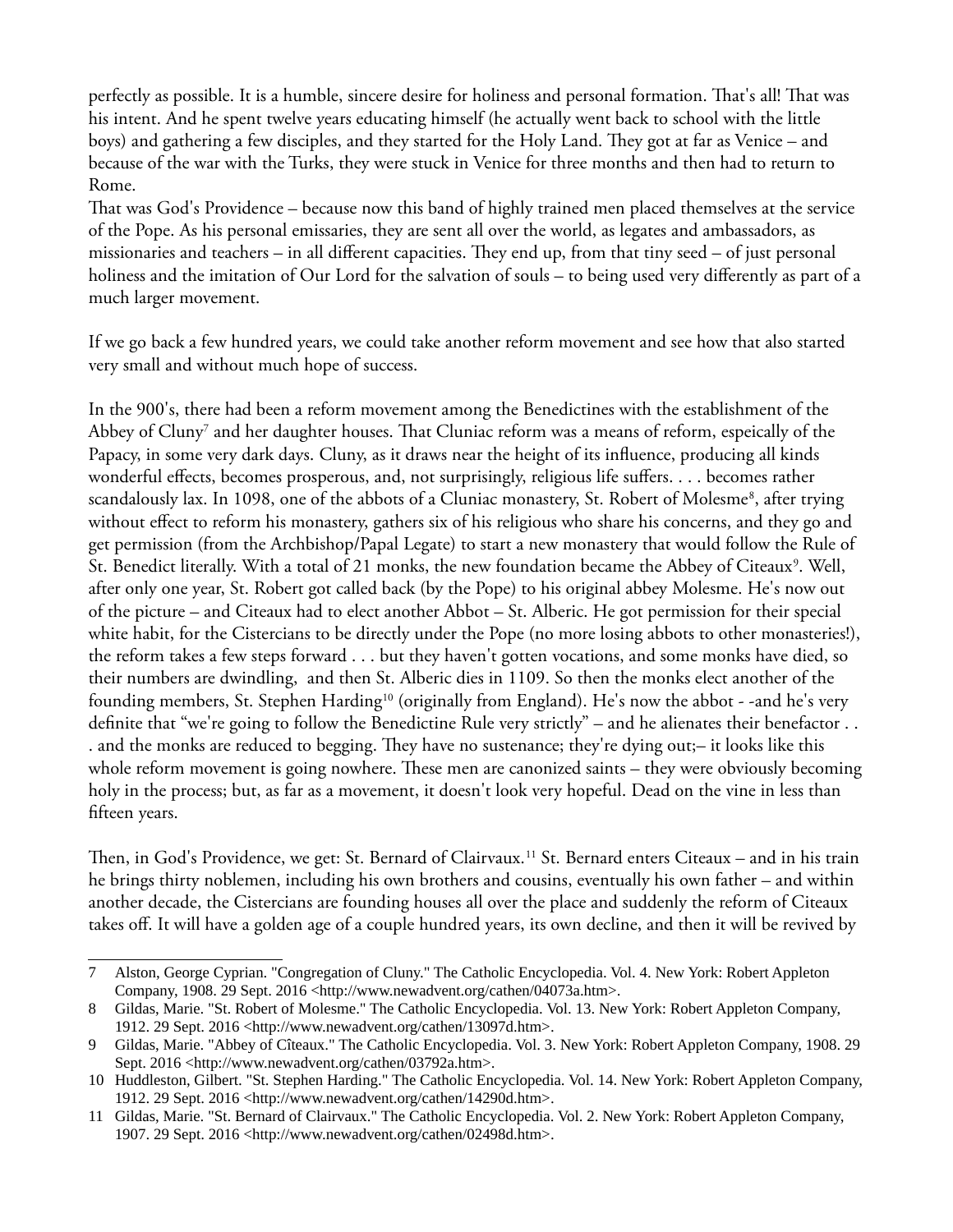perfectly as possible. It is a humble, sincere desire for holiness and personal formation. That's all! That was his intent. And he spent twelve years educating himself (he actually went back to school with the little boys) and gathering a few disciples, and they started for the Holy Land. They got at far as Venice – and because of the war with the Turks, they were stuck in Venice for three months and then had to return to Rome.

Tat was God's Providence – because now this band of highly trained men placed themselves at the service of the Pope. As his personal emissaries, they are sent all over the world, as legates and ambassadors, as missionaries and teachers – in all different capacities. They end up, from that tiny seed – of just personal holiness and the imitation of Our Lord for the salvation of souls – to being used very diferently as part of a much larger movement.

If we go back a few hundred years, we could take another reform movement and see how that also started very small and without much hope of success.

In the 900's, there had been a reform movement among the Benedictines with the establishment of the Abbey of Cluny<sup>[7](#page-4-0)</sup> and her daughter houses. That Cluniac reform was a means of reform, espeically of the Papacy, in some very dark days. Cluny, as it draws near the height of its infuence, producing all kinds wonderful efects, becomes prosperous, and, not surprisingly, religious life sufers. . . . becomes rather scandalously lax. In 109[8](#page-4-1), one of the abbots of a Cluniac monastery, St. Robert of Molesme<sup>8</sup>, after trying without efect to reform his monastery, gathers six of his religious who share his concerns, and they go and get permission (from the Archbishop/Papal Legate) to start a new monastery that would follow the Rule of St. Benedict literally. With a total of 21 monks, the new foundation became the Abbey of Citeaux<sup>[9](#page-4-2)</sup>. Well, after only one year, St. Robert got called back (by the Pope) to his original abbey Molesme. He's now out of the picture – and Citeaux had to elect another Abbot – St. Alberic. He got permission for their special white habit, for the Cistercians to be directly under the Pope (no more losing abbots to other monasteries!), the reform takes a few steps forward . . . but they haven't gotten vocations, and some monks have died, so their numbers are dwindling, and then St. Alberic dies in 1109. So then the monks elect another of the founding members, St. Stephen Harding<sup>[10](#page-4-3)</sup> (originally from England). He's now the abbot - -and he's very defnite that "we're going to follow the Benedictine Rule very strictly" – and he alienates their benefactor . . . and the monks are reduced to begging. They have no sustenance; they're dying out;- it looks like this whole reform movement is going nowhere. These men are canonized saints – they were obviously becoming holy in the process; but, as far as a movement, it doesn't look very hopeful. Dead on the vine in less than ffteen years.

Then, in God's Providence, we get: St. Bernard of Clairvaux.<sup>[11](#page-4-4)</sup> St. Bernard enters Citeaux – and in his train he brings thirty noblemen, including his own brothers and cousins, eventually his own father – and within another decade, the Cistercians are founding houses all over the place and suddenly the reform of Citeaux takes of. It will have a golden age of a couple hundred years, its own decline, and then it will be revived by

<span id="page-4-0"></span><sup>7</sup> Alston, George Cyprian. "Congregation of Cluny." The Catholic Encyclopedia. Vol. 4. New York: Robert Appleton Company, 1908. 29 Sept. 2016 <http://www.newadvent.org/cathen/04073a.htm>.

<span id="page-4-1"></span><sup>8</sup> Gildas, Marie. "St. Robert of Molesme." The Catholic Encyclopedia. Vol. 13. New York: Robert Appleton Company, 1912. 29 Sept. 2016 <http://www.newadvent.org/cathen/13097d.htm>.

<span id="page-4-2"></span><sup>9</sup> Gildas, Marie. "Abbey of Cîteaux." The Catholic Encyclopedia. Vol. 3. New York: Robert Appleton Company, 1908. 29 Sept. 2016 <http://www.newadvent.org/cathen/03792a.htm>.

<span id="page-4-3"></span><sup>10</sup> Huddleston, Gilbert. "St. Stephen Harding." The Catholic Encyclopedia. Vol. 14. New York: Robert Appleton Company, 1912. 29 Sept. 2016 <http://www.newadvent.org/cathen/14290d.htm>.

<span id="page-4-4"></span><sup>11</sup> Gildas, Marie. "St. Bernard of Clairvaux." The Catholic Encyclopedia. Vol. 2. New York: Robert Appleton Company, 1907. 29 Sept. 2016 <http://www.newadvent.org/cathen/02498d.htm>.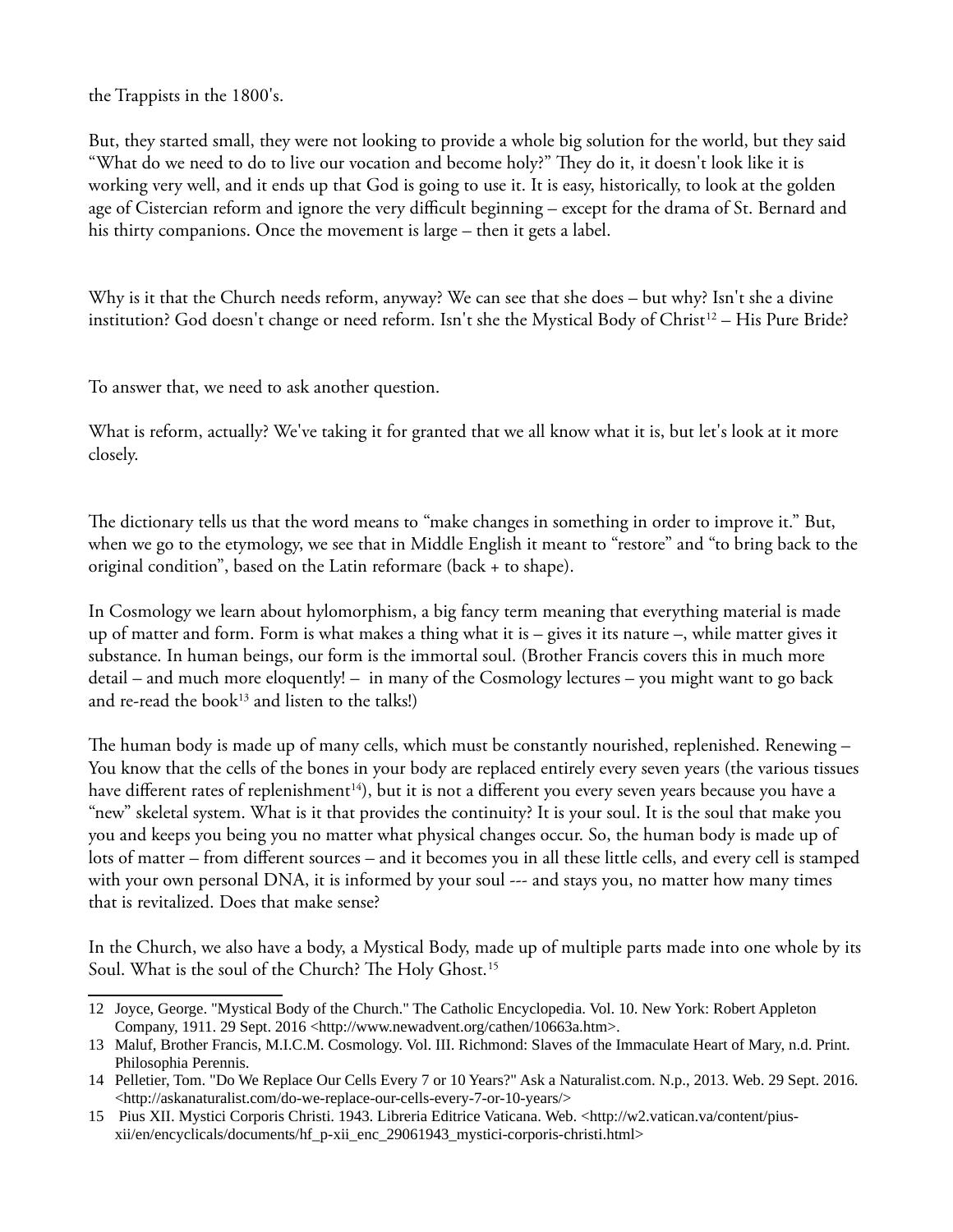the Trappists in the 1800's.

But, they started small, they were not looking to provide a whole big solution for the world, but they said "What do we need to do to live our vocation and become holy?" They do it, it doesn't look like it is working very well, and it ends up that God is going to use it. It is easy, historically, to look at the golden age of Cistercian reform and ignore the very difficult beginning – except for the drama of St. Bernard and his thirty companions. Once the movement is large – then it gets a label.

Why is it that the Church needs reform, anyway? We can see that she does – but why? Isn't she a divine institution? God doesn't change or need reform. Isn't she the Mystical Body of Christ<sup>[12](#page-5-0)</sup> – His Pure Bride?

To answer that, we need to ask another question.

What is reform, actually? We've taking it for granted that we all know what it is, but let's look at it more closely.

The dictionary tells us that the word means to "make changes in something in order to improve it." But, when we go to the etymology, we see that in Middle English it meant to "restore" and "to bring back to the original condition", based on the Latin reformare (back + to shape).

In Cosmology we learn about hylomorphism, a big fancy term meaning that everything material is made up of matter and form. Form is what makes a thing what it is – gives it its nature –, while matter gives it substance. In human beings, our form is the immortal soul. (Brother Francis covers this in much more detail – and much more eloquently! – in many of the Cosmology lectures – you might want to go back and re-read the book<sup>[13](#page-5-1)</sup> and listen to the talks!)

The human body is made up of many cells, which must be constantly nourished, replenished. Renewing – You know that the cells of the bones in your body are replaced entirely every seven years (the various tissues have different rates of replenishment<sup>[14](#page-5-2)</sup>), but it is not a different you every seven years because you have a "new" skeletal system. What is it that provides the continuity? It is your soul. It is the soul that make you you and keeps you being you no matter what physical changes occur. So, the human body is made up of lots of matter – from diferent sources – and it becomes you in all these little cells, and every cell is stamped with your own personal DNA, it is informed by your soul --- and stays you, no matter how many times that is revitalized. Does that make sense?

In the Church, we also have a body, a Mystical Body, made up of multiple parts made into one whole by its Soul. What is the soul of the Church? The Holy Ghost.<sup>[15](#page-5-3)</sup>

<span id="page-5-0"></span><sup>12</sup> Joyce, George. "Mystical Body of the Church." The Catholic Encyclopedia. Vol. 10. New York: Robert Appleton Company, 1911. 29 Sept. 2016 <http://www.newadvent.org/cathen/10663a.htm>.

<span id="page-5-1"></span><sup>13</sup> Maluf, Brother Francis, M.I.C.M. Cosmology. Vol. III. Richmond: Slaves of the Immaculate Heart of Mary, n.d. Print. Philosophia Perennis.

<span id="page-5-2"></span><sup>14</sup> Pelletier, Tom. "Do We Replace Our Cells Every 7 or 10 Years?" Ask a Naturalist.com. N.p., 2013. Web. 29 Sept. 2016. <http://askanaturalist.com/do-we-replace-our-cells-every-7-or-10-years/>

<span id="page-5-3"></span><sup>15</sup> Pius XII. Mystici Corporis Christi. 1943. Libreria Editrice Vaticana. Web. <http://w2.vatican.va/content/piusxii/en/encyclicals/documents/hf\_p-xii\_enc\_29061943\_mystici-corporis-christi.html>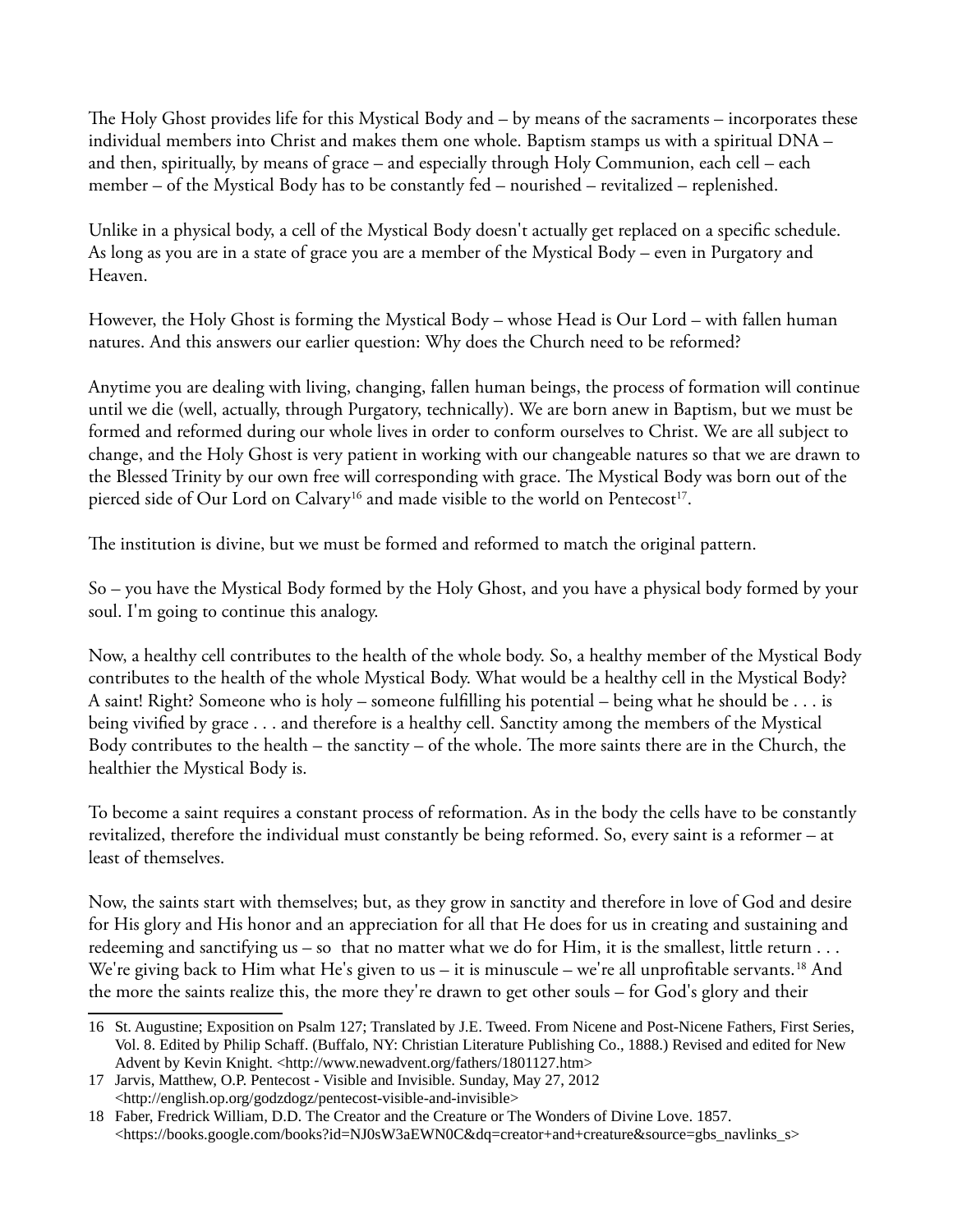The Holy Ghost provides life for this Mystical Body and  $-$  by means of the sacraments  $-$  incorporates these individual members into Christ and makes them one whole. Baptism stamps us with a spiritual DNA – and then, spiritually, by means of grace – and especially through Holy Communion, each cell – each member – of the Mystical Body has to be constantly fed – nourished – revitalized – replenished.

Unlike in a physical body, a cell of the Mystical Body doesn't actually get replaced on a specifc schedule. As long as you are in a state of grace you are a member of the Mystical Body – even in Purgatory and Heaven.

However, the Holy Ghost is forming the Mystical Body – whose Head is Our Lord – with fallen human natures. And this answers our earlier question: Why does the Church need to be reformed?

Anytime you are dealing with living, changing, fallen human beings, the process of formation will continue until we die (well, actually, through Purgatory, technically). We are born anew in Baptism, but we must be formed and reformed during our whole lives in order to conform ourselves to Christ. We are all subject to change, and the Holy Ghost is very patient in working with our changeable natures so that we are drawn to the Blessed Trinity by our own free will corresponding with grace. The Mystical Body was born out of the pierced side of Our Lord on Calvary<sup>[16](#page-6-0)</sup> and made visible to the world on Pentecost<sup>[17](#page-6-1)</sup>.

The institution is divine, but we must be formed and reformed to match the original pattern.

So – you have the Mystical Body formed by the Holy Ghost, and you have a physical body formed by your soul. I'm going to continue this analogy.

Now, a healthy cell contributes to the health of the whole body. So, a healthy member of the Mystical Body contributes to the health of the whole Mystical Body. What would be a healthy cell in the Mystical Body? A saint! Right? Someone who is holy – someone fulflling his potential – being what he should be . . . is being vivifed by grace . . . and therefore is a healthy cell. Sanctity among the members of the Mystical Body contributes to the health – the sanctity – of the whole. The more saints there are in the Church, the healthier the Mystical Body is.

To become a saint requires a constant process of reformation. As in the body the cells have to be constantly revitalized, therefore the individual must constantly be being reformed. So, every saint is a reformer – at least of themselves.

Now, the saints start with themselves; but, as they grow in sanctity and therefore in love of God and desire for His glory and His honor and an appreciation for all that He does for us in creating and sustaining and redeeming and sanctifying us – so that no matter what we do for Him, it is the smallest, little return . . . We're giving back to Him what He's given to us – it is minuscule – we're all unprofitable servants.<sup>[18](#page-6-2)</sup> And the more the saints realize this, the more they're drawn to get other souls – for God's glory and their

<span id="page-6-0"></span><sup>16</sup> St. Augustine; Exposition on Psalm 127; Translated by J.E. Tweed. From Nicene and Post-Nicene Fathers, First Series, Vol. 8. Edited by Philip Schaff. (Buffalo, NY: Christian Literature Publishing Co., 1888.) Revised and edited for New Advent by Kevin Knight. <http://www.newadvent.org/fathers/1801127.htm>

<span id="page-6-1"></span><sup>17</sup> Jarvis, Matthew, O.P. Pentecost - Visible and Invisible. Sunday, May 27, 2012 <http://english.op.org/godzdogz/pentecost-visible-and-invisible>

<span id="page-6-2"></span><sup>18</sup> Faber, Fredrick William, D.D. The Creator and the Creature or The Wonders of Divine Love. 1857. <https://books.google.com/books?id=NJ0sW3aEWN0C&dq=creator+and+creature&source=gbs\_navlinks\_s>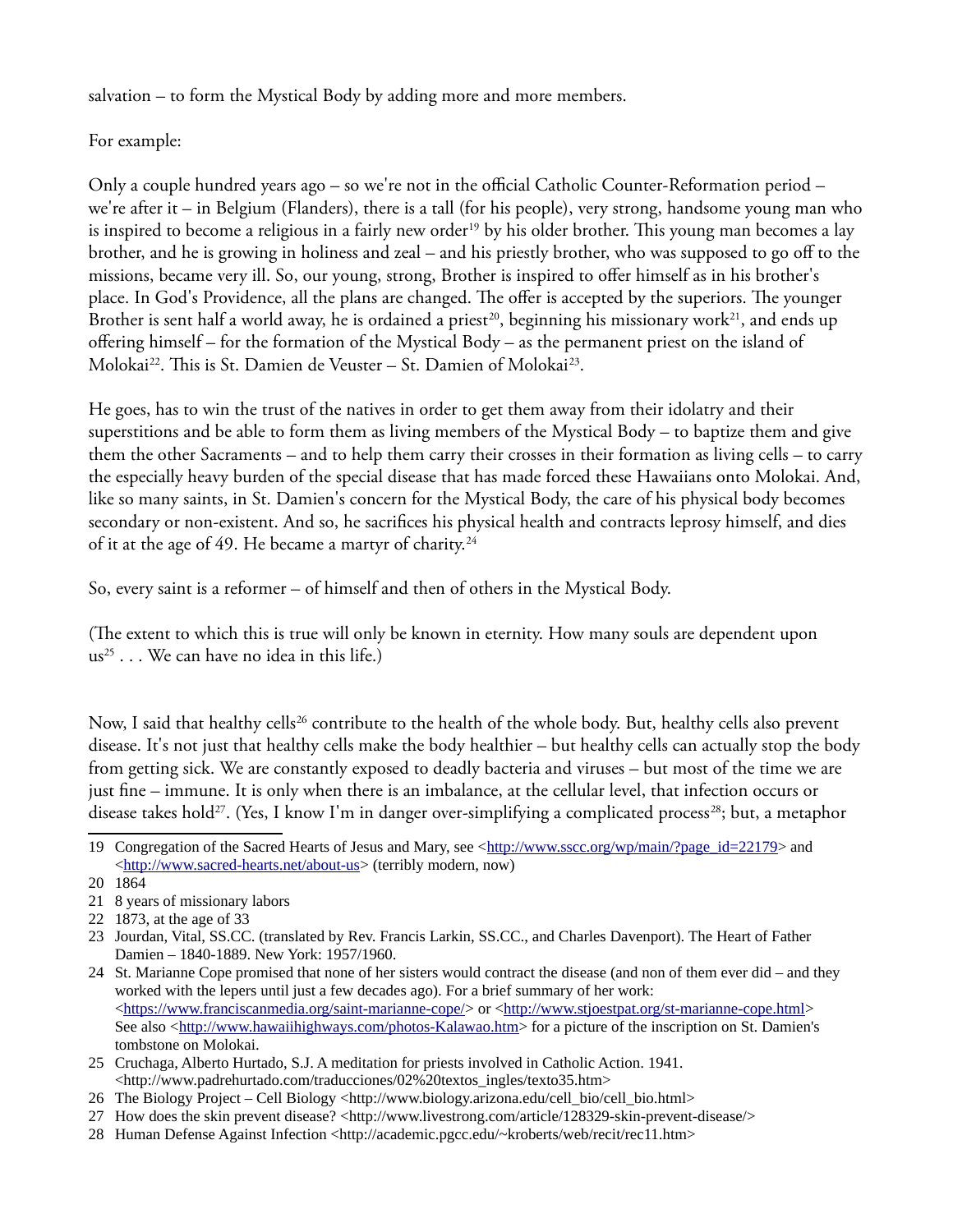salvation – to form the Mystical Body by adding more and more members.

## For example:

Only a couple hundred years ago – so we're not in the official Catholic Counter-Reformation period – we're after it – in Belgium (Flanders), there is a tall (for his people), very strong, handsome young man who is inspired to become a religious in a fairly new order<sup>[19](#page-7-0)</sup> by his older brother. This young man becomes a lay brother, and he is growing in holiness and zeal – and his priestly brother, who was supposed to go off to the missions, became very ill. So, our young, strong, Brother is inspired to ofer himself as in his brother's place. In God's Providence, all the plans are changed. The offer is accepted by the superiors. The younger Brother is sent half a world away, he is ordained a priest<sup>[20](#page-7-1)</sup>, beginning his missionary work<sup>[21](#page-7-2)</sup>, and ends up ofering himself – for the formation of the Mystical Body – as the permanent priest on the island of Molokai<sup>[22](#page-7-3)</sup>. This is St. Damien de Veuster – St. Damien of Molokai<sup>[23](#page-7-4)</sup>.

He goes, has to win the trust of the natives in order to get them away from their idolatry and their superstitions and be able to form them as living members of the Mystical Body – to baptize them and give them the other Sacraments – and to help them carry their crosses in their formation as living cells – to carry the especially heavy burden of the special disease that has made forced these Hawaiians onto Molokai. And, like so many saints, in St. Damien's concern for the Mystical Body, the care of his physical body becomes secondary or non-existent. And so, he sacrifces his physical health and contracts leprosy himself, and dies of it at the age of 49. He became a martyr of charity.<sup>[24](#page-7-5)</sup>

So, every saint is a reformer – of himself and then of others in the Mystical Body.

(The extent to which this is true will only be known in eternity. How many souls are dependent upon  $us^{25} \dots$  $us^{25} \dots$  $us^{25} \dots$  We can have no idea in this life.)

Now, I said that healthy cells<sup>[26](#page-7-7)</sup> contribute to the health of the whole body. But, healthy cells also prevent disease. It's not just that healthy cells make the body healthier – but healthy cells can actually stop the body from getting sick. We are constantly exposed to deadly bacteria and viruses – but most of the time we are just fne – immune. It is only when there is an imbalance, at the cellular level, that infection occurs or disease takes hold<sup>[27](#page-7-8)</sup>. (Yes, I know I'm in danger over-simplifying a complicated process<sup>[28](#page-7-9)</sup>; but, a metaphor

<span id="page-7-0"></span><sup>19</sup> Congregation of the Sacred Hearts of Jesus and Mary, see [<http://www.sscc.org/wp/main/?page\\_id=22179>](http://www.sscc.org/wp/main/?page_id=22179) and [<http://www.sacred-hearts.net/about-us>](http://www.sacred-hearts.net/about-us) (terribly modern, now)

<span id="page-7-1"></span><sup>20</sup> 1864

<span id="page-7-2"></span><sup>21</sup> 8 years of missionary labors

<span id="page-7-3"></span><sup>22</sup> 1873, at the age of 33

<span id="page-7-4"></span><sup>23</sup> Jourdan, Vital, SS.CC. (translated by Rev. Francis Larkin, SS.CC., and Charles Davenport). The Heart of Father Damien – 1840-1889. New York: 1957/1960.

<span id="page-7-5"></span><sup>24</sup> St. Marianne Cope promised that none of her sisters would contract the disease (and non of them ever did – and they worked with the lepers until just a few decades ago). For a brief summary of her work: [<https://www.franciscanmedia.org/saint-marianne-cope/>](https://www.franciscanmedia.org/saint-marianne-cope/) or [<http://www.stjoestpat.org/st-marianne-cope.html>](http://www.stjoestpat.org/st-marianne-cope.html) See also [<http://www.hawaiihighways.com/photos-Kalawao.htm>](http://www.hawaiihighways.com/photos-Kalawao.htm) for a picture of the inscription on St. Damien's tombstone on Molokai.

<span id="page-7-6"></span><sup>25</sup> Cruchaga, Alberto Hurtado, S.J. A meditation for priests involved in Catholic Action. 1941. <http://www.padrehurtado.com/traducciones/02%20textos\_ingles/texto35.htm>

<span id="page-7-7"></span><sup>26</sup> The Biology Project – Cell Biology <http://www.biology.arizona.edu/cell\_bio/cell\_bio.html>

<span id="page-7-8"></span><sup>27</sup> How does the skin prevent disease? <http://www.livestrong.com/article/128329-skin-prevent-disease/>

<span id="page-7-9"></span><sup>28</sup> Human Defense Against Infection <http://academic.pgcc.edu/~kroberts/web/recit/rec11.htm>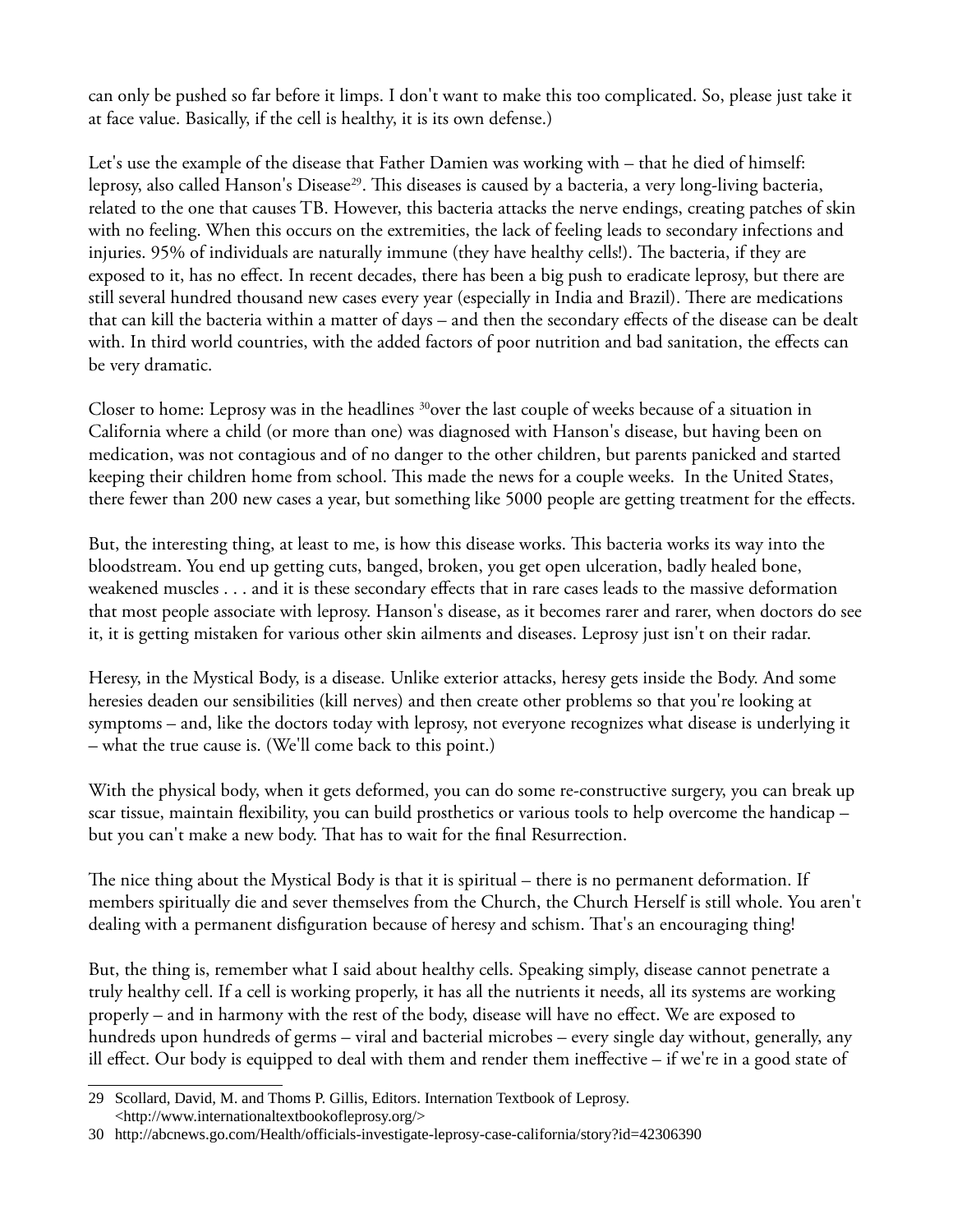can only be pushed so far before it limps. I don't want to make this too complicated. So, please just take it at face value. Basically, if the cell is healthy, it is its own defense.)

Let's use the example of the disease that Father Damien was working with – that he died of himself: leprosy, also called Hanson's Disease<sup>[29](#page-8-0)</sup>. This diseases is caused by a bacteria, a very long-living bacteria, related to the one that causes TB. However, this bacteria attacks the nerve endings, creating patches of skin with no feeling. When this occurs on the extremities, the lack of feeling leads to secondary infections and injuries. 95% of individuals are naturally immune (they have healthy cells!). The bacteria, if they are exposed to it, has no efect. In recent decades, there has been a big push to eradicate leprosy, but there are still several hundred thousand new cases every year (especially in India and Brazil). There are medications that can kill the bacteria within a matter of days – and then the secondary efects of the disease can be dealt with. In third world countries, with the added factors of poor nutrition and bad sanitation, the efects can be very dramatic.

Closer to home: Leprosy was in the headlines <sup>[30](#page-8-1)</sup>over the last couple of weeks because of a situation in California where a child (or more than one) was diagnosed with Hanson's disease, but having been on medication, was not contagious and of no danger to the other children, but parents panicked and started keeping their children home from school. Tis made the news for a couple weeks. In the United States, there fewer than 200 new cases a year, but something like 5000 people are getting treatment for the efects.

But, the interesting thing, at least to me, is how this disease works. Tis bacteria works its way into the bloodstream. You end up getting cuts, banged, broken, you get open ulceration, badly healed bone, weakened muscles . . . and it is these secondary efects that in rare cases leads to the massive deformation that most people associate with leprosy. Hanson's disease, as it becomes rarer and rarer, when doctors do see it, it is getting mistaken for various other skin ailments and diseases. Leprosy just isn't on their radar.

Heresy, in the Mystical Body, is a disease. Unlike exterior attacks, heresy gets inside the Body. And some heresies deaden our sensibilities (kill nerves) and then create other problems so that you're looking at symptoms – and, like the doctors today with leprosy, not everyone recognizes what disease is underlying it – what the true cause is. (We'll come back to this point.)

With the physical body, when it gets deformed, you can do some re-constructive surgery, you can break up scar tissue, maintain fexibility, you can build prosthetics or various tools to help overcome the handicap – but you can't make a new body. That has to wait for the final Resurrection.

The nice thing about the Mystical Body is that it is spiritual – there is no permanent deformation. If members spiritually die and sever themselves from the Church, the Church Herself is still whole. You aren't dealing with a permanent disfiguration because of heresy and schism. That's an encouraging thing!

But, the thing is, remember what I said about healthy cells. Speaking simply, disease cannot penetrate a truly healthy cell. If a cell is working properly, it has all the nutrients it needs, all its systems are working properly – and in harmony with the rest of the body, disease will have no efect. We are exposed to hundreds upon hundreds of germs – viral and bacterial microbes – every single day without, generally, any ill efect. Our body is equipped to deal with them and render them inefective – if we're in a good state of

<span id="page-8-0"></span><sup>29</sup> Scollard, David, M. and Thoms P. Gillis, Editors. Internation Textbook of Leprosy. <http://www.internationaltextbookofleprosy.org/>

<span id="page-8-1"></span><sup>30</sup> http://abcnews.go.com/Health/officials-investigate-leprosy-case-california/story?id=42306390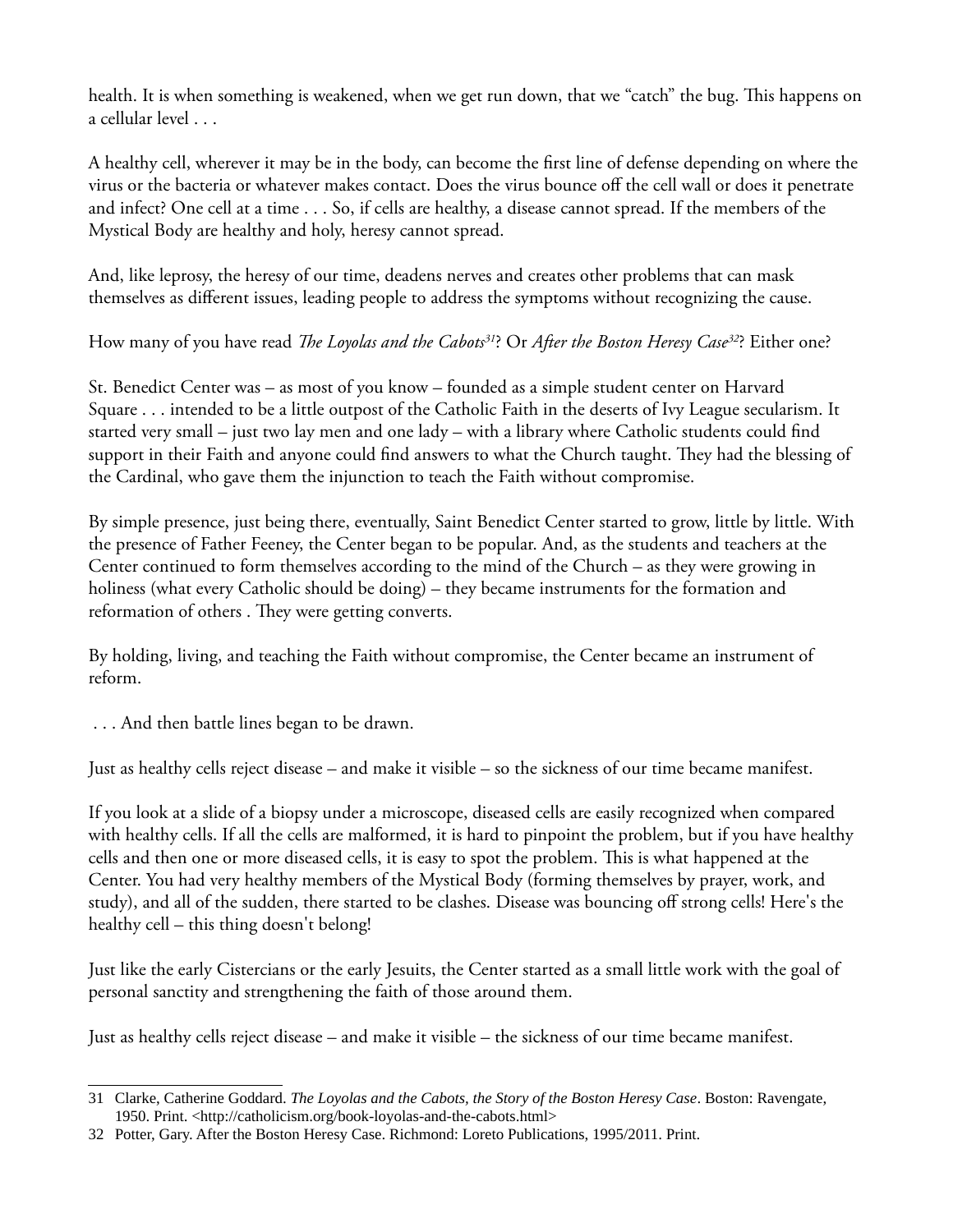health. It is when something is weakened, when we get run down, that we "catch" the bug. This happens on a cellular level . . .

A healthy cell, wherever it may be in the body, can become the frst line of defense depending on where the virus or the bacteria or whatever makes contact. Does the virus bounce of the cell wall or does it penetrate and infect? One cell at a time . . . So, if cells are healthy, a disease cannot spread. If the members of the Mystical Body are healthy and holy, heresy cannot spread.

And, like leprosy, the heresy of our time, deadens nerves and creates other problems that can mask themselves as diferent issues, leading people to address the symptoms without recognizing the cause.

How many of you have read *The Loyolas and the Cabots*<sup>[31](#page-9-0)</sup>? Or *After the Boston Heresy Case*<sup>[32](#page-9-1)</sup>? Either one?

St. Benedict Center was – as most of you know – founded as a simple student center on Harvard Square . . . intended to be a little outpost of the Catholic Faith in the deserts of Ivy League secularism. It started very small – just two lay men and one lady – with a library where Catholic students could fnd support in their Faith and anyone could find answers to what the Church taught. They had the blessing of the Cardinal, who gave them the injunction to teach the Faith without compromise.

By simple presence, just being there, eventually, Saint Benedict Center started to grow, little by little. With the presence of Father Feeney, the Center began to be popular. And, as the students and teachers at the Center continued to form themselves according to the mind of the Church – as they were growing in holiness (what every Catholic should be doing) – they became instruments for the formation and reformation of others. They were getting converts.

By holding, living, and teaching the Faith without compromise, the Center became an instrument of reform.

. . . And then battle lines began to be drawn.

Just as healthy cells reject disease – and make it visible – so the sickness of our time became manifest.

If you look at a slide of a biopsy under a microscope, diseased cells are easily recognized when compared with healthy cells. If all the cells are malformed, it is hard to pinpoint the problem, but if you have healthy cells and then one or more diseased cells, it is easy to spot the problem. This is what happened at the Center. You had very healthy members of the Mystical Body (forming themselves by prayer, work, and study), and all of the sudden, there started to be clashes. Disease was bouncing of strong cells! Here's the healthy cell – this thing doesn't belong!

Just like the early Cistercians or the early Jesuits, the Center started as a small little work with the goal of personal sanctity and strengthening the faith of those around them.

Just as healthy cells reject disease – and make it visible – the sickness of our time became manifest.

<span id="page-9-0"></span><sup>31</sup> Clarke, Catherine Goddard. *The Loyolas and the Cabots, the Story of the Boston Heresy Case*. Boston: Ravengate, 1950. Print. <http://catholicism.org/book-loyolas-and-the-cabots.html>

<span id="page-9-1"></span><sup>32</sup> Potter, Gary. After the Boston Heresy Case. Richmond: Loreto Publications, 1995/2011. Print.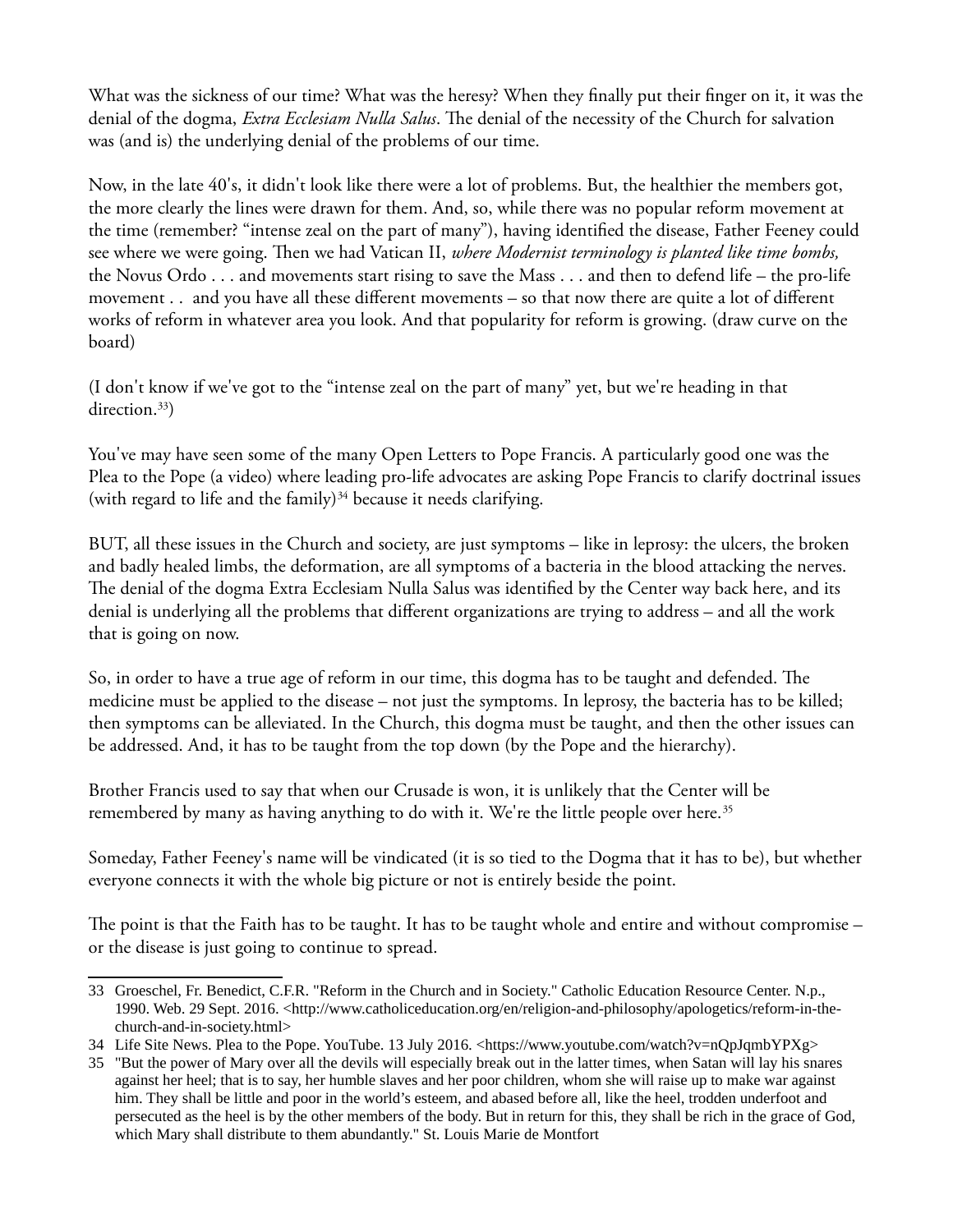What was the sickness of our time? What was the heresy? When they fnally put their fnger on it, it was the denial of the dogma, *Extra Ecclesiam Nulla Salus*. The denial of the necessity of the Church for salvation was (and is) the underlying denial of the problems of our time.

Now, in the late 40's, it didn't look like there were a lot of problems. But, the healthier the members got, the more clearly the lines were drawn for them. And, so, while there was no popular reform movement at the time (remember? "intense zeal on the part of many"), having identifed the disease, Father Feeney could see where we were going. Then we had Vatican II, *where Modernist terminology is planted like time bombs*, the Novus Ordo . . . and movements start rising to save the Mass . . . and then to defend life – the pro-life movement . . and you have all these diferent movements – so that now there are quite a lot of diferent works of reform in whatever area you look. And that popularity for reform is growing. (draw curve on the board)

(I don't know if we've got to the "intense zeal on the part of many" yet, but we're heading in that direction.<sup>[33](#page-10-0)</sup>)

You've may have seen some of the many Open Letters to Pope Francis. A particularly good one was the Plea to the Pope (a video) where leading pro-life advocates are asking Pope Francis to clarify doctrinal issues (with regard to life and the family) $34$  because it needs clarifying.

BUT, all these issues in the Church and society, are just symptoms – like in leprosy: the ulcers, the broken and badly healed limbs, the deformation, are all symptoms of a bacteria in the blood attacking the nerves. The denial of the dogma Extra Ecclesiam Nulla Salus was identified by the Center way back here, and its denial is underlying all the problems that diferent organizations are trying to address – and all the work that is going on now.

So, in order to have a true age of reform in our time, this dogma has to be taught and defended. The medicine must be applied to the disease – not just the symptoms. In leprosy, the bacteria has to be killed; then symptoms can be alleviated. In the Church, this dogma must be taught, and then the other issues can be addressed. And, it has to be taught from the top down (by the Pope and the hierarchy).

Brother Francis used to say that when our Crusade is won, it is unlikely that the Center will be remembered by many as having anything to do with it. We're the little people over here.<sup>[35](#page-10-2)</sup>

Someday, Father Feeney's name will be vindicated (it is so tied to the Dogma that it has to be), but whether everyone connects it with the whole big picture or not is entirely beside the point.

The point is that the Faith has to be taught. It has to be taught whole and entire and without compromise – or the disease is just going to continue to spread.

<span id="page-10-0"></span><sup>33</sup> Groeschel, Fr. Benedict, C.F.R. "Reform in the Church and in Society." Catholic Education Resource Center. N.p., 1990. Web. 29 Sept. 2016. <http://www.catholiceducation.org/en/religion-and-philosophy/apologetics/reform-in-thechurch-and-in-society.html>

<span id="page-10-1"></span><sup>34</sup> Life Site News. Plea to the Pope. YouTube. 13 July 2016. <https://www.youtube.com/watch?v=nQpJqmbYPXg>

<span id="page-10-2"></span><sup>35</sup> "But the power of Mary over all the devils will especially break out in the latter times, when Satan will lay his snares against her heel; that is to say, her humble slaves and her poor children, whom she will raise up to make war against him. They shall be little and poor in the world's esteem, and abased before all, like the heel, trodden underfoot and persecuted as the heel is by the other members of the body. But in return for this, they shall be rich in the grace of God, which Mary shall distribute to them abundantly." St. Louis Marie de Montfort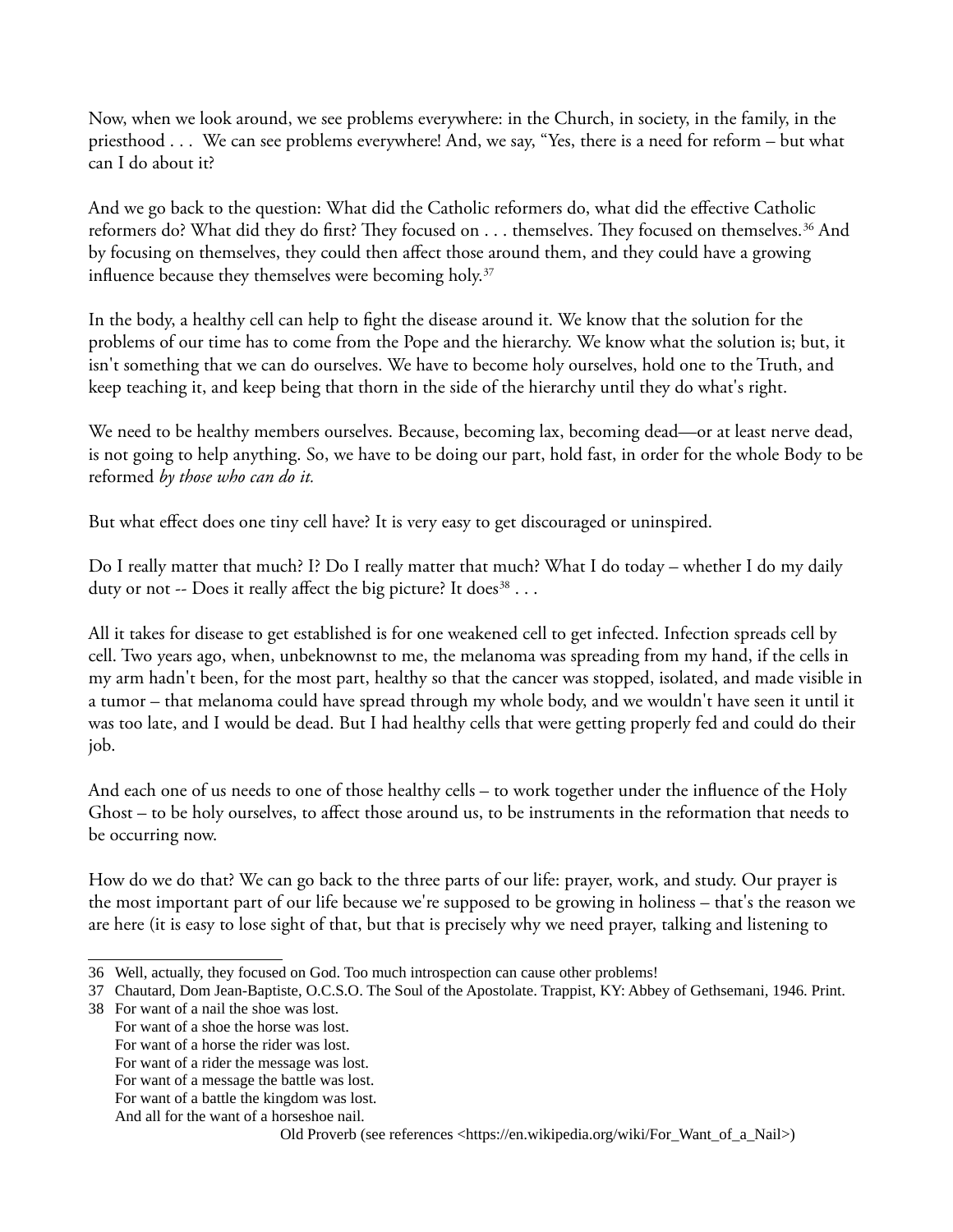Now, when we look around, we see problems everywhere: in the Church, in society, in the family, in the priesthood . . . We can see problems everywhere! And, we say, "Yes, there is a need for reform – but what can I do about it?

And we go back to the question: What did the Catholic reformers do, what did the efective Catholic reformers do? What did they do first? They focused on . . . themselves. They focused on themselves.<sup>[36](#page-11-0)</sup> And by focusing on themselves, they could then afect those around them, and they could have a growing influence because they themselves were becoming holy.<sup>[37](#page-11-1)</sup>

In the body, a healthy cell can help to fght the disease around it. We know that the solution for the problems of our time has to come from the Pope and the hierarchy. We know what the solution is; but, it isn't something that we can do ourselves. We have to become holy ourselves, hold one to the Truth, and keep teaching it, and keep being that thorn in the side of the hierarchy until they do what's right.

We need to be healthy members ourselves. Because, becoming lax, becoming dead—or at least nerve dead, is not going to help anything. So, we have to be doing our part, hold fast, in order for the whole Body to be reformed *by those who can do it.*

But what efect does one tiny cell have? It is very easy to get discouraged or uninspired.

Do I really matter that much? I? Do I really matter that much? What I do today – whether I do my daily duty or not -- Does it really affect the big picture? It does $^{38} \cdots$  $^{38} \cdots$  $^{38} \cdots$ 

All it takes for disease to get established is for one weakened cell to get infected. Infection spreads cell by cell. Two years ago, when, unbeknownst to me, the melanoma was spreading from my hand, if the cells in my arm hadn't been, for the most part, healthy so that the cancer was stopped, isolated, and made visible in a tumor – that melanoma could have spread through my whole body, and we wouldn't have seen it until it was too late, and I would be dead. But I had healthy cells that were getting properly fed and could do their job.

And each one of us needs to one of those healthy cells – to work together under the infuence of the Holy Ghost – to be holy ourselves, to affect those around us, to be instruments in the reformation that needs to be occurring now.

How do we do that? We can go back to the three parts of our life: prayer, work, and study. Our prayer is the most important part of our life because we're supposed to be growing in holiness – that's the reason we are here (it is easy to lose sight of that, but that is precisely why we need prayer, talking and listening to

- <span id="page-11-2"></span>38 For want of a nail the shoe was lost.
	- For want of a shoe the horse was lost.
	- For want of a horse the rider was lost.
	- For want of a rider the message was lost.
	- For want of a message the battle was lost. For want of a battle the kingdom was lost.

Old Proverb (see references <https://en.wikipedia.org/wiki/For\_Want\_of\_a\_Nail>)

<span id="page-11-0"></span><sup>36</sup> Well, actually, they focused on God. Too much introspection can cause other problems!

<span id="page-11-1"></span><sup>37</sup> Chautard, Dom Jean-Baptiste, O.C.S.O. The Soul of the Apostolate. Trappist, KY: Abbey of Gethsemani, 1946. Print.

And all for the want of a horseshoe nail.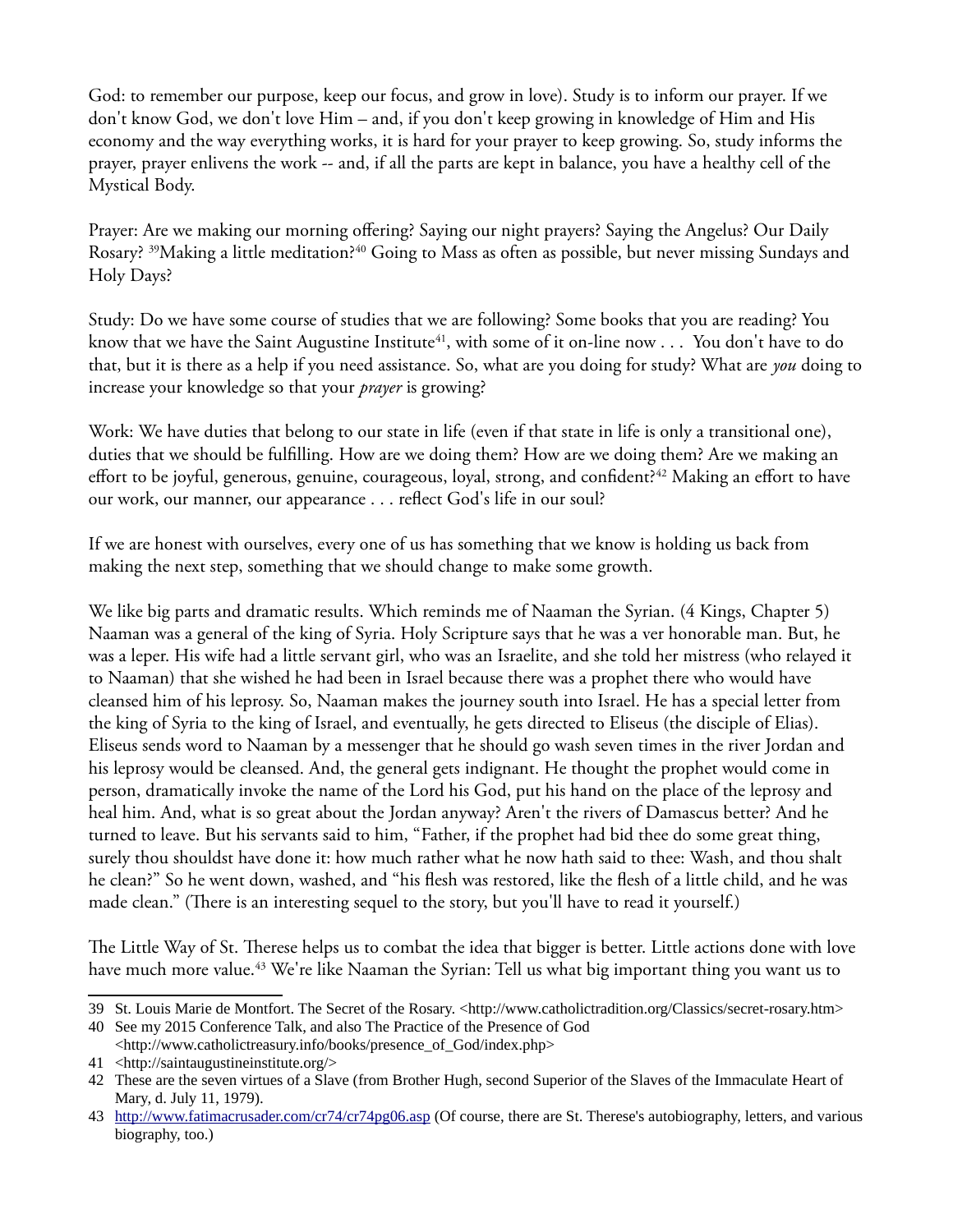God: to remember our purpose, keep our focus, and grow in love). Study is to inform our prayer. If we don't know God, we don't love Him – and, if you don't keep growing in knowledge of Him and His economy and the way everything works, it is hard for your prayer to keep growing. So, study informs the prayer, prayer enlivens the work -- and, if all the parts are kept in balance, you have a healthy cell of the Mystical Body.

Prayer: Are we making our morning offering? Saying our night prayers? Saying the Angelus? Our Daily Rosary? <sup>[39](#page-12-0)</sup>Making a little meditation?<sup>[40](#page-12-1)</sup> Going to Mass as often as possible, but never missing Sundays and Holy Days?

Study: Do we have some course of studies that we are following? Some books that you are reading? You know that we have the Saint Augustine Institute<sup>[41](#page-12-2)</sup>, with some of it on-line now . . . You don't have to do that, but it is there as a help if you need assistance. So, what are you doing for study? What are *you* doing to increase your knowledge so that your *prayer* is growing?

Work: We have duties that belong to our state in life (even if that state in life is only a transitional one), duties that we should be fulflling. How are we doing them? How are we doing them? Are we making an effort to be joyful, generous, genuine, courageous, loyal, strong, and confident?<sup>[42](#page-12-3)</sup> Making an effort to have our work, our manner, our appearance . . . refect God's life in our soul?

If we are honest with ourselves, every one of us has something that we know is holding us back from making the next step, something that we should change to make some growth.

We like big parts and dramatic results. Which reminds me of Naaman the Syrian. (4 Kings, Chapter 5) Naaman was a general of the king of Syria. Holy Scripture says that he was a ver honorable man. But, he was a leper. His wife had a little servant girl, who was an Israelite, and she told her mistress (who relayed it to Naaman) that she wished he had been in Israel because there was a prophet there who would have cleansed him of his leprosy. So, Naaman makes the journey south into Israel. He has a special letter from the king of Syria to the king of Israel, and eventually, he gets directed to Eliseus (the disciple of Elias). Eliseus sends word to Naaman by a messenger that he should go wash seven times in the river Jordan and his leprosy would be cleansed. And, the general gets indignant. He thought the prophet would come in person, dramatically invoke the name of the Lord his God, put his hand on the place of the leprosy and heal him. And, what is so great about the Jordan anyway? Aren't the rivers of Damascus better? And he turned to leave. But his servants said to him, "Father, if the prophet had bid thee do some great thing, surely thou shouldst have done it: how much rather what he now hath said to thee: Wash, and thou shalt he clean?" So he went down, washed, and "his fesh was restored, like the fesh of a little child, and he was made clean." (There is an interesting sequel to the story, but you'll have to read it yourself.)

The Little Way of St. Therese helps us to combat the idea that bigger is better. Little actions done with love have much more value.<sup>[43](#page-12-4)</sup> We're like Naaman the Syrian: Tell us what big important thing you want us to

<span id="page-12-0"></span><sup>39</sup> St. Louis Marie de Montfort. The Secret of the Rosary. <http://www.catholictradition.org/Classics/secret-rosary.htm>

<span id="page-12-1"></span><sup>40</sup> See my 2015 Conference Talk, and also The Practice of the Presence of God <http://www.catholictreasury.info/books/presence\_of\_God/index.php>

<span id="page-12-2"></span><sup>41</sup> <http://saintaugustineinstitute.org/>

<span id="page-12-3"></span><sup>42</sup> These are the seven virtues of a Slave (from Brother Hugh, second Superior of the Slaves of the Immaculate Heart of Mary, d. July 11, 1979).

<span id="page-12-4"></span><sup>43</sup> <http://www.fatimacrusader.com/cr74/cr74pg06.asp>(Of course, there are St. Therese's autobiography, letters, and various biography, too.)